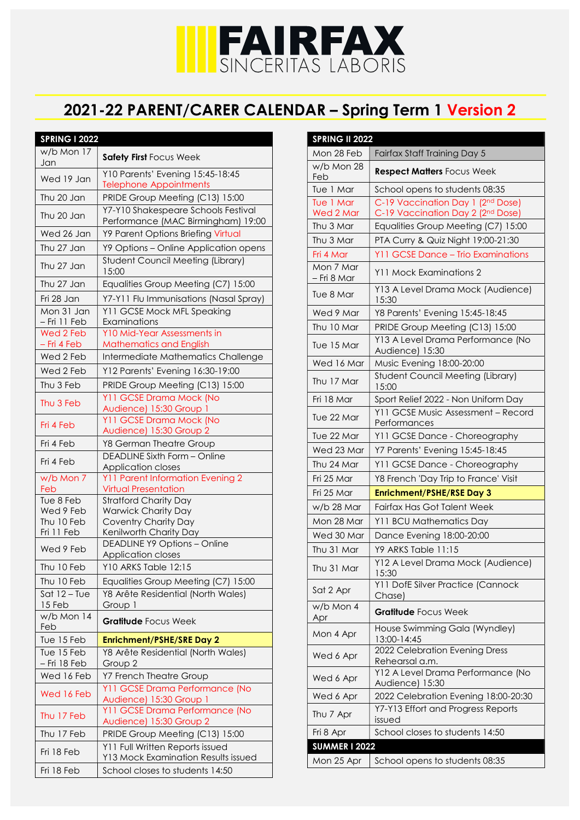## IFAIRFAX

## 2021-22 PARENT/CARER CALENDAR – Spring Term 1 Version 2

| <b>SPRING I 2022</b>       |                                                                           |
|----------------------------|---------------------------------------------------------------------------|
| w/b Mon 17                 |                                                                           |
| Jan                        | Safety First Focus Week                                                   |
| Wed 19 Jan                 | Y10 Parents' Evening 15:45-18:45<br><b>Telephone Appointments</b>         |
| Thu 20 Jan                 | PRIDE Group Meeting (C13) 15:00                                           |
| Thu 20 Jan                 | Y7-Y10 Shakespeare Schools Festival<br>Performance (MAC Birmingham) 19:00 |
| Wed 26 Jan                 | Y9 Parent Options Briefing Virtual                                        |
| Thu 27 Jan                 | Y9 Options - Online Application opens                                     |
| Thu 27 Jan                 | <b>Student Council Meeting (Library)</b><br>15:00                         |
| Thu 27 Jan                 | Equalities Group Meeting (C7) 15:00                                       |
| Fri 28 Jan                 | Y7-Y11 Flu Immunisations (Nasal Spray)                                    |
| Mon 31 Jan<br>- Fri 11 Feb | Y11 GCSE Mock MFL Speaking<br>Examinations                                |
| Wed 2 Feb                  | Y10 Mid-Year Assessments in                                               |
| - Fri 4 Feb                | <b>Mathematics and English</b>                                            |
| Wed 2 Feb                  | Intermediate Mathematics Challenge                                        |
| Wed 2 Feb                  | Y12 Parents' Evening 16:30-19:00                                          |
| Thu 3 Feb                  | PRIDE Group Meeting (C13) 15:00                                           |
| Thu 3 Feb                  | Y11 GCSE Drama Mock (No<br>Audience) 15:30 Group 1                        |
| Fri 4 Feb                  | Y11 GCSE Drama Mock (No<br>Audience) 15:30 Group 2                        |
| Fri 4 Feb                  | Y8 German Theatre Group                                                   |
| Fri 4 Feb                  | <b>DEADLINE Sixth Form - Online</b><br>Application closes                 |
| w/b Mon 7                  | <b>Y11 Parent Information Evening 2</b>                                   |
| Feb                        | <b>Virtual Presentation</b>                                               |
| Tue 8 Feb                  | <b>Stratford Charity Day</b>                                              |
| Wed 9 Feb                  | <b>Warwick Charity Day</b>                                                |
| Thu 10 Feb                 | <b>Coventry Charity Day</b>                                               |
| Fri 11 Feb                 | Kenilworth Charity Day<br><b>DEADLINE Y9 Options - Online</b>             |
| Wed 9 Feb                  | Application closes                                                        |
| Thu 10 Feb                 | Y10 ARKS Table 12:15                                                      |
| Thu 10 Feb                 | Equalities Group Meeting (C7) 15:00                                       |
| Sat $12 - T$ ue            | Y8 Arête Residential (North Wales)                                        |
| 15 Feb                     | Group 1                                                                   |
| w/b Mon 14<br>Feb          | <b>Gratitude Focus Week</b>                                               |
| Tue 15 Feb                 | <b>Enrichment/PSHE/SRE Day 2</b>                                          |
| Tue 15 Feb                 | Y8 Arête Residential (North Wales)                                        |
| - Fri 18 Feb               | Group 2                                                                   |
| Wed 16 Feb                 | Y7 French Theatre Group                                                   |
| Wed 16 Feb                 | Y11 GCSE Drama Performance (No<br>Audience) 15:30 Group 1                 |
| Thu 17 Feb                 | Y11 GCSE Drama Performance (No<br>Audience) 15:30 Group 2                 |
| Thu 17 Feb                 | PRIDE Group Meeting (C13) 15:00                                           |
| Fri 18 Feb                 | Y11 Full Written Reports issued<br>Y13 Mock Examination Results issued    |
| Fri 18 Feb                 | School closes to students 14:50                                           |
|                            |                                                                           |

| <b>SPRING II 2022</b>    |                                                                        |
|--------------------------|------------------------------------------------------------------------|
| Mon 28 Feb               | Fairfax Staff Training Day 5                                           |
| w/b Mon 28<br>Feb        | <b>Respect Matters Focus Week</b>                                      |
| Tue 1 Mar                | School opens to students 08:35                                         |
| Tue 1 Mar<br>Wed 2 Mar   | C-19 Vaccination Day 1 (2nd Dose)<br>C-19 Vaccination Day 2 (2nd Dose) |
| Thu 3 Mar                | Equalities Group Meeting (C7) 15:00                                    |
| Thu 3 Mar                | PTA Curry & Quiz Night 19:00-21:30                                     |
| Fri 4 Mar                | Y11 GCSE Dance - Trio Examinations                                     |
| Mon 7 Mar<br>– Fri 8 Mar | Y11 Mock Examinations 2                                                |
| Tue 8 Mar                | Y13 A Level Drama Mock (Audience)<br>15:30                             |
| Wed 9 Mar                | Y8 Parents' Evening 15:45-18:45                                        |
| Thu 10 Mar               | PRIDE Group Meeting (C13) 15:00                                        |
| Tue 15 Mar               | Y13 A Level Drama Performance (No<br>Audience) 15:30                   |
| Wed 16 Mar               | Music Evening 18:00-20:00                                              |
| Thu 17 Mar               | <b>Student Council Meeting (Library)</b><br>15:00                      |
| Fri 18 Mar               | Sport Relief 2022 - Non Uniform Day                                    |
| Tue 22 Mar               | Y11 GCSE Music Assessment - Record<br>Performances                     |
| Tue 22 Mar               | Y11 GCSE Dance - Choreography                                          |
| Wed 23 Mar               | Y7 Parents' Evening 15:45-18:45                                        |
| Thu 24 Mar               | Y11 GCSE Dance - Choreography                                          |
| Fri 25 Mar               | Y8 French 'Day Trip to France' Visit                                   |
| Fri 25 Mar               | <b>Enrichment/PSHE/RSE Day 3</b>                                       |
| w/b 28 Mar               | Fairfax Has Got Talent Week                                            |
| Mon 28 Mar               | Y11 BCU Mathematics Day                                                |
| Wed 30 Mar               | Dance Evening 18:00-20:00                                              |
| Thu 31 Mar               | Y9 ARKS Table 11:15                                                    |
| Thu 31 Mar               | Y12 A Level Drama Mock (Audience)<br>15:30                             |
| Sat 2 Apr                | Y11 DofE Silver Practice (Cannock<br>Chase)                            |
| w/b Mon 4<br>Apr         | Gratitude Focus Week                                                   |
| Mon 4 Apr                | House Swimming Gala (Wyndley)<br>13:00-14:45                           |
| Wed 6 Apr                | 2022 Celebration Evening Dress<br>Rehearsal a.m.                       |
| Wed 6 Apr                | Y12 A Level Drama Performance (No<br>Audience) 15:30                   |
| Wed 6 Apr                | 2022 Celebration Evening 18:00-20:30                                   |
| Thu 7 Apr                | Y7-Y13 Effort and Progress Reports<br>issued                           |
| Fri 8 Apr                | School closes to students 14:50                                        |
| <b>SUMMER I 2022</b>     |                                                                        |
| Mon 25 Apr               | School opens to students 08:35                                         |